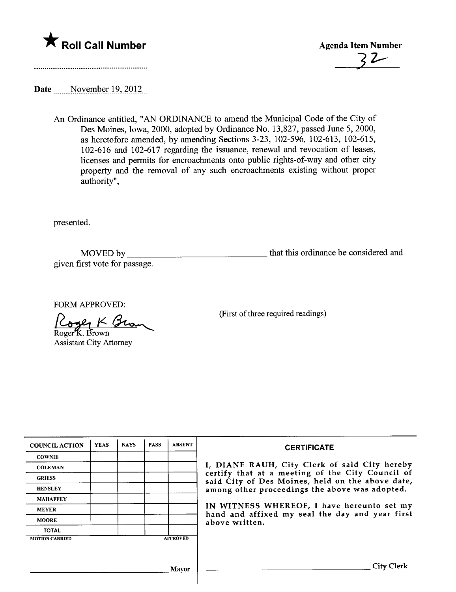



Date \_\_\_\_\_November 19, 2012\_

An Ordinance entitled, "AN ORDINANCE to amend the Municipal Code of the City of Des Moines, Iowa, 2000, adopted by Ordinance No. 13,827, passed June 5, 2000, as heretofore amended, by amending Sections 3-23, 102-596, 102-613, 102-615, 102-616 and 102-617 regarding the issuance, renewal and revocation of leases, licenses and permits for encroachments onto public rights-of-way and other city property and the removal of any such encroachments existing without proper authority".

presented.

MOVED by \_\_\_\_\_\_\_ given first vote for passage.

**that this ordinance be considered and** 

FORM APPROVED:<br>
<u>Roger</u> K. Brown<br>
Assistant City Attorney

(First of three required readings)

| <b>COUNCIL ACTION</b> | <b>YEAS</b> | <b>NAYS</b> | <b>PASS</b> | <b>ABSENT</b>   | <b>CERTIFICATE</b>                                                                                                                                                                                                                                                                                                         |
|-----------------------|-------------|-------------|-------------|-----------------|----------------------------------------------------------------------------------------------------------------------------------------------------------------------------------------------------------------------------------------------------------------------------------------------------------------------------|
| <b>COWNIE</b>         |             |             |             |                 |                                                                                                                                                                                                                                                                                                                            |
| <b>COLEMAN</b>        |             |             |             |                 | I, DIANE RAUH, City Clerk of said City hereby<br>certify that at a meeting of the City Council of<br>said City of Des Moines, held on the above date,<br>among other proceedings the above was adopted.<br>IN WITNESS WHEREOF, I have hereunto set my<br>hand and affixed my seal the day and year first<br>above written. |
| <b>GRIESS</b>         |             |             |             |                 |                                                                                                                                                                                                                                                                                                                            |
| <b>HENSLEY</b>        |             |             |             |                 |                                                                                                                                                                                                                                                                                                                            |
| <b>MAHAFFEY</b>       |             |             |             |                 |                                                                                                                                                                                                                                                                                                                            |
| <b>MEYER</b>          |             |             |             |                 |                                                                                                                                                                                                                                                                                                                            |
| <b>MOORE</b>          |             |             |             |                 |                                                                                                                                                                                                                                                                                                                            |
| <b>TOTAL</b>          |             |             |             |                 |                                                                                                                                                                                                                                                                                                                            |
| <b>MOTION CARRIED</b> |             |             |             | <b>APPROVED</b> |                                                                                                                                                                                                                                                                                                                            |
|                       |             |             |             |                 |                                                                                                                                                                                                                                                                                                                            |
|                       |             |             |             |                 | City                                                                                                                                                                                                                                                                                                                       |
| Mavor                 |             |             |             |                 |                                                                                                                                                                                                                                                                                                                            |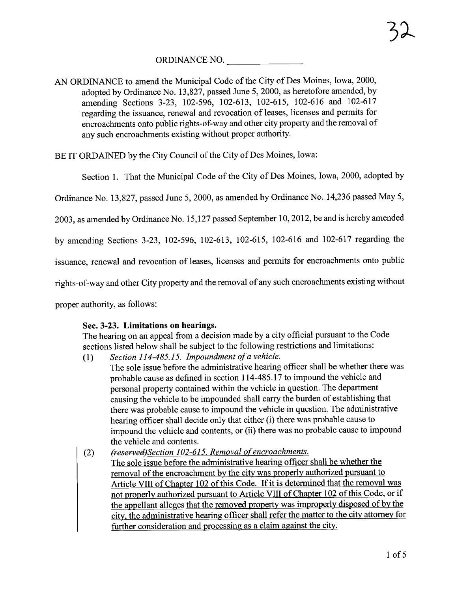ORDINANCE NO.

AN ORDINANCE to amend the Municipal Code of the City of Des Moines, Iowa, 2000, adopted by Ordinance No. 13,827, passed June 5, 2000, as heretofore amended, by amending Sections 3-23, 102-596, 102-613, 102-615, 102-616 and 102-617 regarding the issuance, renewal and revocation of leases, licenses and permits for encroachments onto public rights-of-way and other city property and the removal of any such encroachments existing without proper authority.

BE IT ORDAINED by the City Council of the City of Des Moines, Iowa:

Section 1. That the Municipal Code of the City of Des Moines, Iowa, 2000, adopted by

Ordinance No. 13,827, passed June 5, 2000, as amended by Ordinance No. 14,236 passed May 5,

2003, as amended by Ordinance No. 15,127 passed September 10,2012, be and is hereby amended

by amending Sections 3-23, 102-596, 102-613, 102-615, 102-616 and 102-617 regarding the

issuance, renewal and revocation of leases, licenses and permits for encroachments onto public

rights-of-way and other City property and the removal of any such encroachments existing without

proper authority, as follows:

## Sec. 3-23. Limitations on hearings.

The hearing on an appeal from a decision made by a city official pursuant to the Code sections listed below shall be subject to the following restrictions and limitations:

- (1) Section 114-485.15. Impoundment of a vehicle.
- The sole issue before the administrative hearing officer shall be whether there was probable cause as defined in section 114-485.17 to impound the vehicle and personal property contained within the vehicle in question. The department causing the vehicle to be impounded shall carry the burden of establishing that there was probable cause to impound the vehicle in question. The administrative hearing officer shall decide only that either (i) there was probable cause to impound the vehicle and contents, or (ii) there was no probable cause to impound the vehicle and contents.
- (2) (reserved)Section 102-615. Removal of encroachments. The sole issue before the administrative hearing officer shall be whether the removal of the encroachment by the city was properly authorized pursuant to Article VIII of Chapter 102 of this Code. If it is determined that the removal was not properly authorized pursuant to Aricle VII of Chapter 102 of this Code. or if the appellant alleges that the removed property was improperly disposed of by the city. the administrative hearing officer shall refer the matter to the city attorney for further consideration and processing as a claim against the city.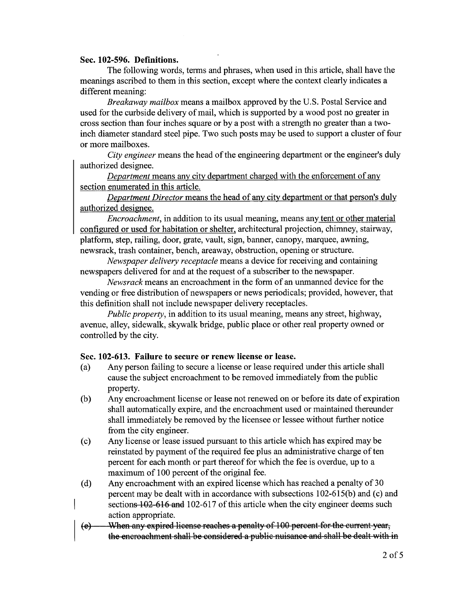## Sec. 102-596. Definitions.

The following words, terms and phrases, when used in this article, shall have the meanings ascribed to them in this section, except where the context clearly indicates a different meaning:

Breakaway mailbox means a mailbox approved by the U.S. Postal Service and used for the curbside delivery of mail, which is supported by a wood post no greater in cross section than four inches square or by a post with a strength no greater than a twoinch diameter standard steel pipe. Two such posts may be used to support a cluster of four or more mailboxes.

City engineer means the head of the engineering department or the engineer's duly authorized designee.

Department means any city department charged with the enforcement of any section enumerated in this article.

Department Director means the head of any city department or that person's duly authorized designee.

Encroachment, in addition to its usual meaning, means any tent or other material configured or used for habitation or shelter. architectural projection, chimney, stairway, platform, step, railing, door, grate, vault, sign, banner, canopy, marquee, awning, newsrack, trash container, bench, areaway, obstruction, opening or structure.

Newspaper delivery receptacle means a device for receiving and containing newspapers delivered for and at the request of a subscriber to the newspaper.

Newsrack means an encroachment in the form of an unmaned device for the vending or free distribution of newspapers or news periodicals; provided, however, that this definition shall not include newspaper delivery receptacles.

Public property, in addition to its usual meaning, means any street, highway, avenue, alley, sidewalk, skywalk bridge, public place or other real property owned or controlled by the city.

## Sec. 102-613. Failure to secure or renew license or lease.

- (a) Any person failing to secure a license or lease required under this aricle shall cause the subject encroachment to be removed immediately from the public property.
- (b) Any encroachment license or lease not renewed on or before its date of expiration shall automatically expire, and the encroachment used or maintained thereunder shall immediately be removed by the licensee or lessee without further notice from the city engineer.
- ( c) Any license or lease issued pursuant to this article which has expired may be reinstated by payment of the required fee plus an administrative charge of ten percent for each month or part thereof for which the fee is overdue, up to a maximum of 100 percent of the original fee.
- (d) Any encroachment with an expired license which has reached a penalty of 30 percent may be dealt with in accordance with subsections 102-615(b) and (c) and sections 102-616 and 102-617 of this article when the city engineer deems such action appropriate.
- (e) When any expired license reaches a penalty of 100 percent for the current year, the encroachment shall be considered a public nuisance and shall be dealt with in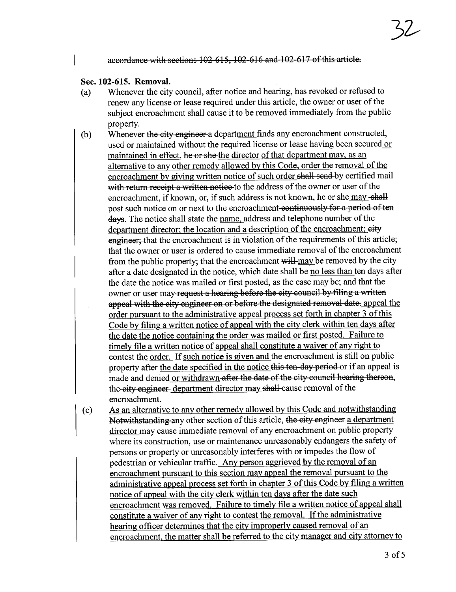#### accordance with sections 102-615, 102-616 and 102-617 of this article.

### Sec. 102-615. RemovaL.

- (a) Whenever the city council, after notice and hearng, has revoked or refused to renew any license or lease required under this aricle, the owner or user of the subject encroachment shall cause it to be removed immediately from the public property.
- (b) Whenever the city engineer a department finds any encroachment constructed, used or maintained without the required license or lease having been secured or maintained in effect, he or she the director of that department may, as an alternative to any other remedy allowed by this Code. order the removal of the encroachment by giving written notice of such order shall send by certified mail with return receipt a written notice-to the address of the owner or user of the encroachment, if known, or, if such address is not known, he or she may-shall post such notice on or next to the encroachment continuously for a period of ten days. The notice shall state the name, address and telephone number of the department director; the location and a description of the encroachment; eity engineer; that the encroachment is in violation of the requirements of this article; that the owner or user is ordered to cause immediate removal of the encroachment from the public property; that the encroachment will-may be removed by the city after a date designated in the notice, which date shall be no less than ten days after the date the notice was mailed or first posted, as the case may be; and that the owner or user may-request a hearing before the city council by filing a written appeal with the city engineer on or before the designated removal date. appeal the order pursuant to the administrative appeal process set forth in chapter 3 of this Code by filing a written notice of appeal with the city clerk within ten days after the date the notice containing the order was mailed or first posted. Failure to timely file a written notice of appeal shall constitute a waiver of any right to contest the order. If such notice is given and the encroachment is stil on public property after the date specified in the notice this ten-day period or if an appeal is made and denied or withdrawn after the date of the city council hearing thereon, the city engineer department director may shall cause removal of the encroachment.
- (c) As an alternative to any other remedy allowed by this Code and notwithstanding Notwithstanding any other section of this article, the city engineer a department director may cause immediate removal of any encroachment on public property where its construction, use or maintenance unreasonably endangers the safety of persons or property or unreasonably interferes with or impedes the flow of pedestrian or vehicular traffic. Any person aggrieved by the removal of an encroachment pursuant to this section may appeal the removal pursuant to the administrative appeal process set forth in chapter 3 of this Code by filing a written notice of appeal with the city clerk within ten days after the date such encroachment was removed. Failure to timely file a written notice of appeal shall constitute a waiver of any right to contest the removal. If the administrative hearing officer determines that the city improperly caused removal of an encroachment. the matter shall be referred to the city manager and city attorney to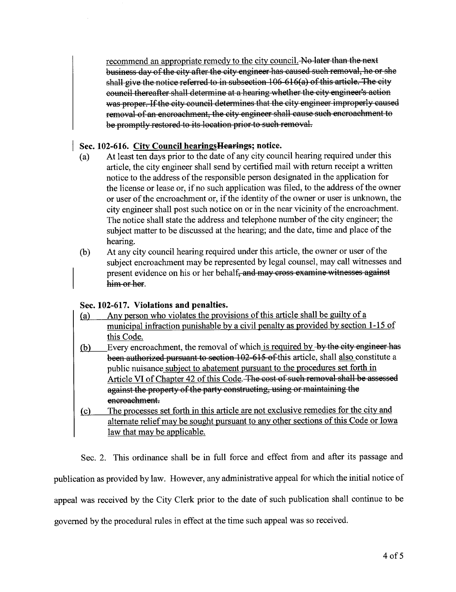recommend an appropriate remedy to the city council. No later than the next business day of the city after the city engineer has caused such removal, he or she shall give the notice referred to in subsection  $106-616(a)$  of this article. The city council thereafter shall determine at a hearing whether the city engineer's action was proper. If the city council determines that the city engineer improperly caused removal of an encroachment, the city engineer shall cause such encroachment to be promptly restored to its location prior to such removal.

# Sec. 102-616. City Council hearingsHearings; notice.

- (a) At least ten days prior to the date of any city council hearing required under this article, the city engineer shall send by certified mail with return receipt a written notice to the address of the responsible person designated in the application for the license or lease or, if no such application was fied, to the address of the owner or user of the encroachment or, if the identity of the owner or user is unknown, the city engineer shall post such notice on or in the near vicinity of the encroachment. The notice shall state the address and telephone number of the city engineer; the subject matter to be discussed at the hearing; and the date, time and place of the hearing.
- (b) At any city council hearing required under this article, the owner or user of the subject encroachment may be represented by legal counsel, may call witnesses and present evidence on his or her behalf, and may cross examine witnesses against him or her.

## Sec. 102-617. Violations and penalties.

municipal infraction punishable by a civil penalty as provided by section 1-15 of Any person who violates the provisions of this article shall be guilty of a this Code. (b) Every encroachment, the removal of which is required by by the city engineer has been authorized pursuant to section 102-615 of this article, shall also constitute a public nuisance subiect to abatement pursuant to the procedures set forth in Aricle VI of Chapter 42 of this Code. The cost of such removal shall be assessed against the property of the party constructing, using or maintaining the encroachment. (c) The processes set forth in this aricle are not exclusive remedies for the city and alternate relief may be sought pursuant to any other sections of this Code or Iowa law that may be applicable.

Sec. 2. This ordinance shall be in full force and effect from and after its passage and

publication as provided by law. However, any administrative appeal for which the initial notice of

appeal was received by the City Clerk prior to the date of such publication shall continue to be

governed by the procedural rules in effect at the time such appeal was so received.